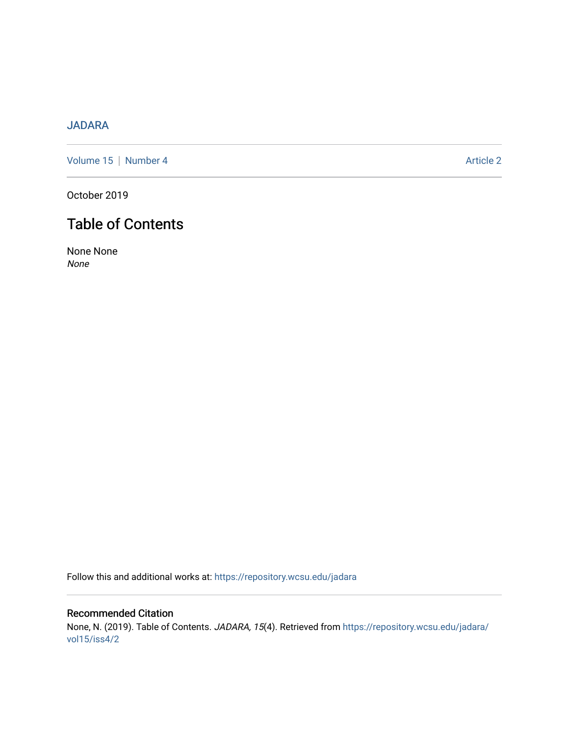## [JADARA](https://repository.wcsu.edu/jadara)

[Volume 15](https://repository.wcsu.edu/jadara/vol15) | [Number 4](https://repository.wcsu.edu/jadara/vol15/iss4) Article 2

October 2019

# Table of Contents

None None None

Follow this and additional works at: [https://repository.wcsu.edu/jadara](https://repository.wcsu.edu/jadara?utm_source=repository.wcsu.edu%2Fjadara%2Fvol15%2Fiss4%2F2&utm_medium=PDF&utm_campaign=PDFCoverPages)

Recommended Citation None, N. (2019). Table of Contents. JADARA, 15(4). Retrieved from [https://repository.wcsu.edu/jadara/](https://repository.wcsu.edu/jadara/vol15/iss4/2?utm_source=repository.wcsu.edu%2Fjadara%2Fvol15%2Fiss4%2F2&utm_medium=PDF&utm_campaign=PDFCoverPages) [vol15/iss4/2](https://repository.wcsu.edu/jadara/vol15/iss4/2?utm_source=repository.wcsu.edu%2Fjadara%2Fvol15%2Fiss4%2F2&utm_medium=PDF&utm_campaign=PDFCoverPages)